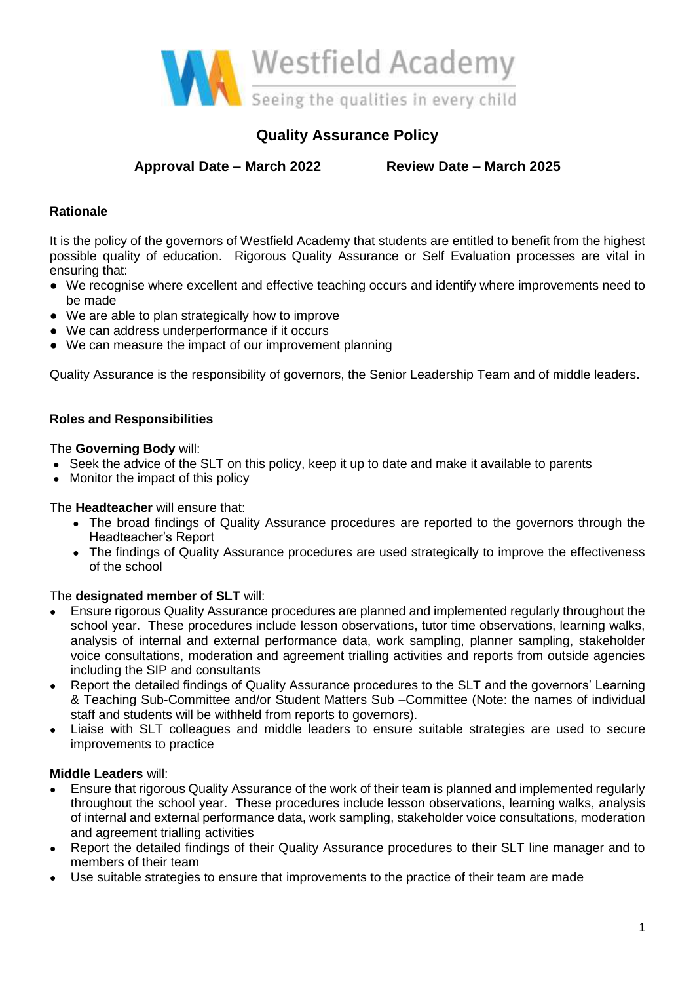

## **Quality Assurance Policy**

**Approval Date – March 2022 Review Date – March 2025**

#### **Rationale**

It is the policy of the governors of Westfield Academy that students are entitled to benefit from the highest possible quality of education. Rigorous Quality Assurance or Self Evaluation processes are vital in ensuring that:

- We recognise where excellent and effective teaching occurs and identify where improvements need to be made
- We are able to plan strategically how to improve
- We can address underperformance if it occurs
- We can measure the impact of our improvement planning

Quality Assurance is the responsibility of governors, the Senior Leadership Team and of middle leaders.

#### **Roles and Responsibilities**

The **Governing Body** will:

- Seek the advice of the SLT on this policy, keep it up to date and make it available to parents
- Monitor the impact of this policy

The **Headteacher** will ensure that:

- The broad findings of Quality Assurance procedures are reported to the governors through the Headteacher's Report
- The findings of Quality Assurance procedures are used strategically to improve the effectiveness of the school

#### The **designated member of SLT** will:

- **●** Ensure rigorous Quality Assurance procedures are planned and implemented regularly throughout the school year. These procedures include lesson observations, tutor time observations, learning walks, analysis of internal and external performance data, work sampling, planner sampling, stakeholder voice consultations, moderation and agreement trialling activities and reports from outside agencies including the SIP and consultants
- **●** Report the detailed findings of Quality Assurance procedures to the SLT and the governors' Learning & Teaching Sub-Committee and/or Student Matters Sub –Committee (Note: the names of individual staff and students will be withheld from reports to governors).
- **●** Liaise with SLT colleagues and middle leaders to ensure suitable strategies are used to secure improvements to practice

#### **Middle Leaders** will:

- **●** Ensure that rigorous Quality Assurance of the work of their team is planned and implemented regularly throughout the school year. These procedures include lesson observations, learning walks, analysis of internal and external performance data, work sampling, stakeholder voice consultations, moderation and agreement trialling activities
- Report the detailed findings of their Quality Assurance procedures to their SLT line manager and to members of their team
- Use suitable strategies to ensure that improvements to the practice of their team are made